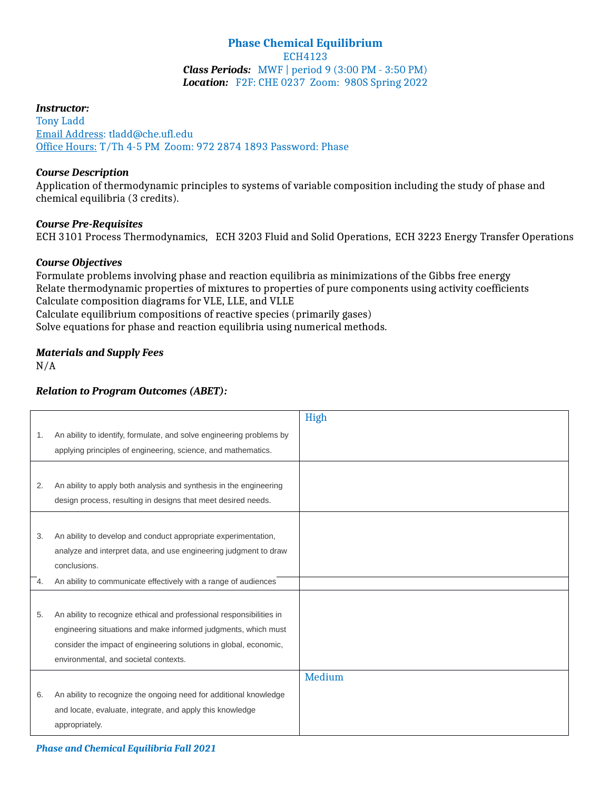# **Phase Chemical Equilibrium** ECH4123 *Class Periods:* MWF | period 9 (3:00 PM - 3:50 PM) *Location:* F2F: CHE 0237 Zoom: 980S Spring 2022

#### *Instructor:*

Tony Ladd Email Address: tladd@che.ufl.edu Office Hours: T/Th 4-5 PM Zoom: 972 2874 1893 Password: Phase

### *Course Description*

Application of thermodynamic principles to systems of variable composition including the study of phase and chemical equilibria (3 credits).

### *Course Pre-Requisites*

ECH 3101 Process Thermodynamics, ECH 3203 Fluid and Solid Operations, ECH 3223 Energy Transfer Operations

### *Course Objectives*

Formulate problems involving phase and reaction equilibria as minimizations of the Gibbs free energy Relate thermodynamic properties of mixtures to properties of pure components using activity coefficients Calculate composition diagrams for VLE, LLE, and VLLE Calculate equilibrium compositions of reactive species (primarily gases) Solve equations for phase and reaction equilibria using numerical methods.

# *Materials and Supply Fees*

### $N/A$

### *Relation to Program Outcomes (ABET):*

|    |                                                                      | High   |
|----|----------------------------------------------------------------------|--------|
| 1. | An ability to identify, formulate, and solve engineering problems by |        |
|    | applying principles of engineering, science, and mathematics.        |        |
|    |                                                                      |        |
| 2. | An ability to apply both analysis and synthesis in the engineering   |        |
|    | design process, resulting in designs that meet desired needs.        |        |
|    |                                                                      |        |
| 3. | An ability to develop and conduct appropriate experimentation,       |        |
|    | analyze and interpret data, and use engineering judgment to draw     |        |
|    | conclusions.                                                         |        |
| 4. | An ability to communicate effectively with a range of audiences      |        |
|    |                                                                      |        |
| 5. | An ability to recognize ethical and professional responsibilities in |        |
|    | engineering situations and make informed judgments, which must       |        |
|    | consider the impact of engineering solutions in global, economic,    |        |
|    | environmental, and societal contexts.                                |        |
|    |                                                                      | Medium |
| 6. | An ability to recognize the ongoing need for additional knowledge    |        |
|    | and locate, evaluate, integrate, and apply this knowledge            |        |
|    | appropriately.                                                       |        |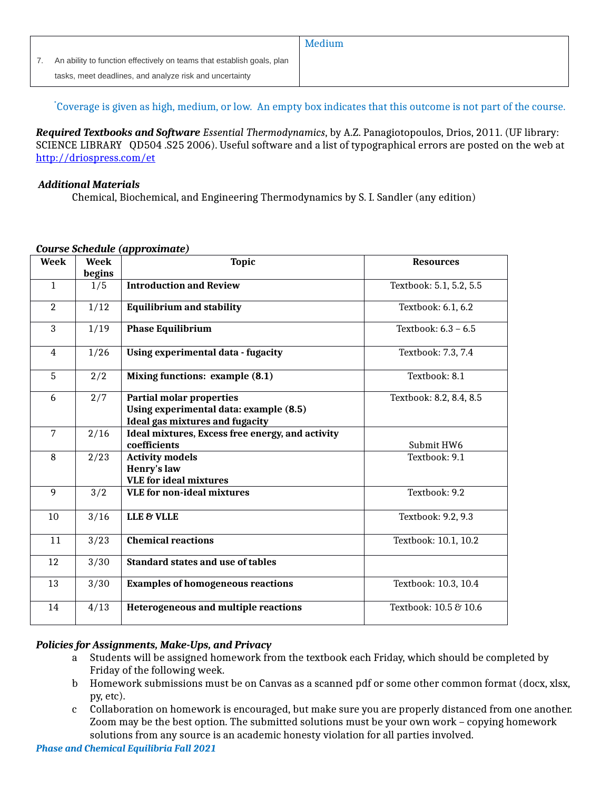|                                                                        | Medium |
|------------------------------------------------------------------------|--------|
| An ability to function effectively on teams that establish goals, plan |        |
| tasks, meet deadlines, and analyze risk and uncertainty                |        |
|                                                                        |        |

\*Coverage is given as high, medium, or low. An empty box indicates that this outcome is not part of the course.

*Required Textbooks and Software Essential Thermodynamics*, by A.Z. Panagiotopoulos, Drios, 2011. (UF library: SCIENCE LIBRARY QD504 .S25 2006). Useful software and a list of typographical errors are posted on the web at <http://driospress.com/et>

### *Additional Materials*

Chemical, Biochemical, and Engineering Thermodynamics by S. I. Sandler (any edition)

| <b>Week</b>    | Week          | <b>Topic</b>                                                                                                        | <b>Resources</b>        |
|----------------|---------------|---------------------------------------------------------------------------------------------------------------------|-------------------------|
| $\mathbf{1}$   | begins<br>1/5 | <b>Introduction and Review</b>                                                                                      | Textbook: 5.1, 5.2, 5.5 |
| $\overline{2}$ | 1/12          | <b>Equilibrium and stability</b>                                                                                    | Textbook: 6.1, 6.2      |
| 3              | 1/19          | <b>Phase Equilibrium</b>                                                                                            | Textbook: 6.3 - 6.5     |
| 4              | 1/26          | <b>Using experimental data - fugacity</b>                                                                           | Textbook: 7.3, 7.4      |
| 5              | 2/2           | Mixing functions: example (8.1)                                                                                     | Textbook: 8.1           |
| 6              | 2/7           | <b>Partial molar properties</b><br>Using experimental data: example (8.5)<br><b>Ideal gas mixtures and fugacity</b> | Textbook: 8.2, 8.4, 8.5 |
| $\overline{7}$ | 2/16          | Ideal mixtures, Excess free energy, and activity<br>coefficients                                                    | Submit HW6              |
| 8              | 2/23          | <b>Activity models</b><br>Henry's law<br><b>VLE</b> for ideal mixtures                                              | Textbook: 9.1           |
| 9              | 3/2           | <b>VLE</b> for non-ideal mixtures                                                                                   | Textbook: 9.2           |
| 10             | 3/16          | LLE & VLLE                                                                                                          | Textbook: 9.2, 9.3      |
| 11             | 3/23          | <b>Chemical reactions</b>                                                                                           | Textbook: 10.1, 10.2    |
| 12             | 3/30          | <b>Standard states and use of tables</b>                                                                            |                         |
| 13             | 3/30          | <b>Examples of homogeneous reactions</b>                                                                            | Textbook: 10.3, 10.4    |
| 14             | 4/13          | <b>Heterogeneous and multiple reactions</b>                                                                         | Textbook: 10.5 & 10.6   |

# *Course Schedule (approximate)*

# *Policies for Assignments, Make-Ups, and Privacy*

- a Students will be assigned homework from the textbook each Friday, which should be completed by Friday of the following week.
- b Homework submissions must be on Canvas as a scanned pdf or some other common format (docx, xlsx, py, etc).
- c Collaboration on homework is encouraged, but make sure you are properly distanced from one another. Zoom may be the best option. The submitted solutions must be your own work – copying homework solutions from any source is an academic honesty violation for all parties involved.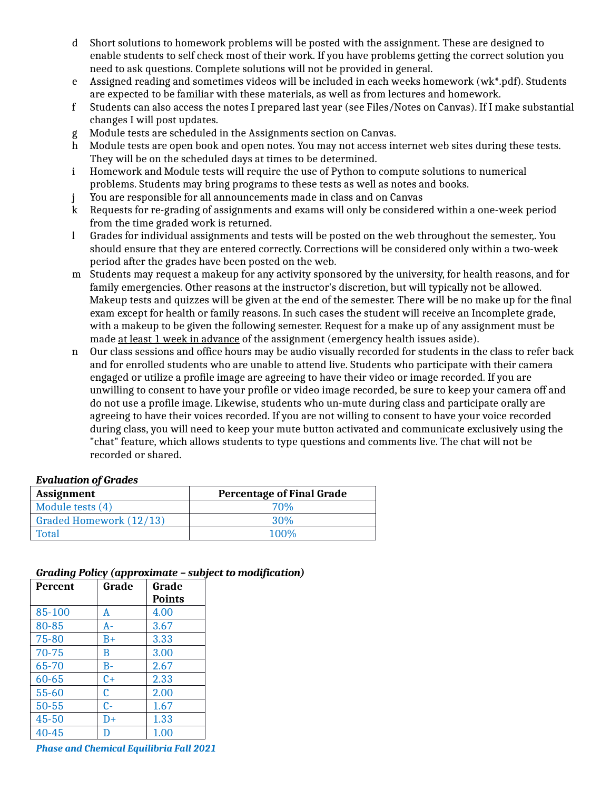- d Short solutions to homework problems will be posted with the assignment. These are designed to enable students to self check most of their work. If you have problems getting the correct solution you need to ask questions. Complete solutions will not be provided in general.
- e Assigned reading and sometimes videos will be included in each weeks homework (wk\*.pdf). Students are expected to be familiar with these materials, as well as from lectures and homework.
- f Students can also access the notes I prepared last year (see Files/Notes on Canvas). If I make substantial changes I will post updates.
- g Module tests are scheduled in the Assignments section on Canvas.
- h Module tests are open book and open notes. You may not access internet web sites during these tests. They will be on the scheduled days at times to be determined.
- i Homework and Module tests will require the use of Python to compute solutions to numerical problems. Students may bring programs to these tests as well as notes and books.
- j You are responsible for all announcements made in class and on Canvas
- k Requests for re-grading of assignments and exams will only be considered within a one-week period from the time graded work is returned.
- l Grades for individual assignments and tests will be posted on the web throughout the semester,. You should ensure that they are entered correctly. Corrections will be considered only within a two-week period after the grades have been posted on the web.
- m Students may request a makeup for any activity sponsored by the university, for health reasons, and for family emergencies. Other reasons at the instructor's discretion, but will typically not be allowed. Makeup tests and quizzes will be given at the end of the semester. There will be no make up for the final exam except for health or family reasons. In such cases the student will receive an Incomplete grade, with a makeup to be given the following semester. Request for a make up of any assignment must be made at least 1 week in advance of the assignment (emergency health issues aside).
- n Our class sessions and office hours may be audio visually recorded for students in the class to refer back and for enrolled students who are unable to attend live. Students who participate with their camera engaged or utilize a profile image are agreeing to have their video or image recorded. If you are unwilling to consent to have your profile or video image recorded, be sure to keep your camera off and do not use a profile image. Likewise, students who un-mute during class and participate orally are agreeing to have their voices recorded. If you are not willing to consent to have your voice recorded during class, you will need to keep your mute button activated and communicate exclusively using the "chat" feature, which allows students to type questions and comments live. The chat will not be recorded or shared.

# *Evaluation of Grades*

| Assignment              | <b>Percentage of Final Grade</b> |
|-------------------------|----------------------------------|
| Module tests (4)        | 70%                              |
| Graded Homework (12/13) | 30%                              |
| Total                   | $100\%$                          |

# *Grading Policy (approximate – subject to modification)*

| Percent   | Grade | Grade         |
|-----------|-------|---------------|
|           |       | <b>Points</b> |
| 85-100    | A     | 4.00          |
| 80-85     | A-    | 3.67          |
| $75 - 80$ | $B+$  | 3.33          |
| $70 - 75$ | B     | 3.00          |
| 65-70     | $B -$ | 2.67          |
| $60 - 65$ | $C+$  | 2.33          |
| 55-60     | C     | 2.00          |
| $50 - 55$ | $c-$  | 1.67          |
| 45-50     | $D+$  | 1.33          |
| 40-45     | D     | 1.00          |

*Phase and Chemical Equilibria Fall 2021*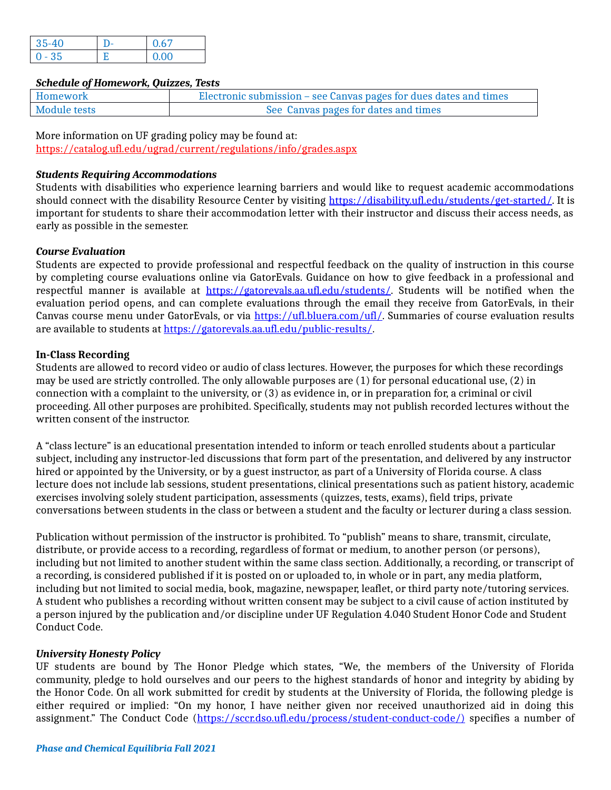| 35-40    | 0.67 |
|----------|------|
| $0 - 35$ | 0.00 |

### *Schedule of Homework, Quizzes, Tests*

| Homework     | Electronic submission – see Canvas pages for dues dates and times |
|--------------|-------------------------------------------------------------------|
| Module tests | See Canvas pages for dates and times                              |

More information on UF grading policy may be found at: <https://catalog.ufl.edu/ugrad/current/regulations/info/grades.aspx>

## *Students Requiring Accommodations*

Students with disabilities who experience learning barriers and would like to request academic accommodations should connect with the disability Resource Center by visiting [https://disability.ufl.edu/students/get-started/.](https://disability.ufl.edu/students/get-started/) It is important for students to share their accommodation letter with their instructor and discuss their access needs, as early as possible in the semester.

# *Course Evaluation*

Students are expected to provide professional and respectful feedback on the quality of instruction in this course by completing course evaluations online via GatorEvals. Guidance on how to give feedback in a professional and respectful manner is available at [https://gatorevals.aa.ufl.edu/students/.](https://gatorevals.aa.ufl.edu/students/) Students will be notified when the evaluation period opens, and can complete evaluations through the email they receive from GatorEvals, in their Canvas course menu under GatorEvals, or via [https://ufl.bluera.com/ufl/.](https://ufl.bluera.com/ufl/) Summaries of course evaluation results are available to students at [https://gatorevals.aa.ufl.edu/public-results/.](https://gatorevals.aa.ufl.edu/public-results/)

### **In-Class Recording**

Students are allowed to record video or audio of class lectures. However, the purposes for which these recordings may be used are strictly controlled. The only allowable purposes are (1) for personal educational use, (2) in connection with a complaint to the university, or (3) as evidence in, or in preparation for, a criminal or civil proceeding. All other purposes are prohibited. Specifically, students may not publish recorded lectures without the written consent of the instructor.

A "class lecture" is an educational presentation intended to inform or teach enrolled students about a particular subject, including any instructor-led discussions that form part of the presentation, and delivered by any instructor hired or appointed by the University, or by a guest instructor, as part of a University of Florida course. A class lecture does not include lab sessions, student presentations, clinical presentations such as patient history, academic exercises involving solely student participation, assessments (quizzes, tests, exams), field trips, private conversations between students in the class or between a student and the faculty or lecturer during a class session.

Publication without permission of the instructor is prohibited. To "publish" means to share, transmit, circulate, distribute, or provide access to a recording, regardless of format or medium, to another person (or persons), including but not limited to another student within the same class section. Additionally, a recording, or transcript of a recording, is considered published if it is posted on or uploaded to, in whole or in part, any media platform, including but not limited to social media, book, magazine, newspaper, leaflet, or third party note/tutoring services. A student who publishes a recording without written consent may be subject to a civil cause of action instituted by a person injured by the publication and/or discipline under UF Regulation 4.040 Student Honor Code and Student Conduct Code.

#### *University Honesty Policy*

UF students are bound by The Honor Pledge which states, "We, the members of the University of Florida community, pledge to hold ourselves and our peers to the highest standards of honor and integrity by abiding by the Honor Code. On all work submitted for credit by students at the University of Florida, the following pledge is either required or implied: "On my honor, I have neither given nor received unauthorized aid in doing this assignment." The Conduct Code [\(https://sccr.dso.ufl.edu/process/student-conduct-code/\)](https://sccr.dso.ufl.edu/process/student-conduct-code/) specifies a number of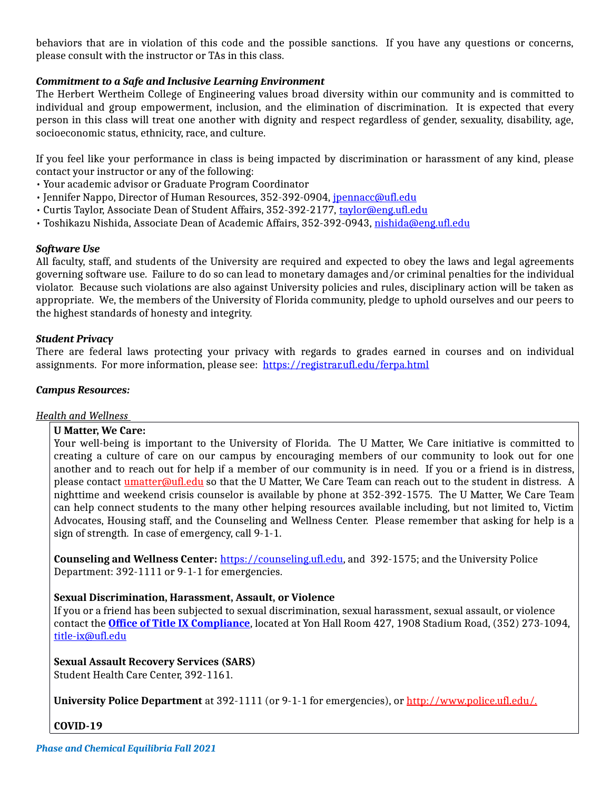behaviors that are in violation of this code and the possible sanctions. If you have any questions or concerns, please consult with the instructor or TAs in this class.

# *Commitment to a Safe and Inclusive Learning Environment*

The Herbert Wertheim College of Engineering values broad diversity within our community and is committed to individual and group empowerment, inclusion, and the elimination of discrimination. It is expected that every person in this class will treat one another with dignity and respect regardless of gender, sexuality, disability, age, socioeconomic status, ethnicity, race, and culture.

If you feel like your performance in class is being impacted by discrimination or harassment of any kind, please contact your instructor or any of the following:

- Your academic advisor or Graduate Program Coordinator
- Jennifer Nappo, Director of Human Resources, 352-392-0904, [jpennacc@ufl.edu](mailto:jpennacc@ufl.edu)
- Curtis Taylor, Associate Dean of Student Affairs, 352-392-2177, [taylor@eng.ufl.edu](mailto:taylor@eng.ufl.edu)
- Toshikazu Nishida, Associate Dean of Academic Affairs, 352-392-0943, [nishida@eng.ufl.edu](mailto:nishida@eng.ufl.edu)

### *Software Use*

All faculty, staff, and students of the University are required and expected to obey the laws and legal agreements governing software use. Failure to do so can lead to monetary damages and/or criminal penalties for the individual violator. Because such violations are also against University policies and rules, disciplinary action will be taken as appropriate. We, the members of the University of Florida community, pledge to uphold ourselves and our peers to the highest standards of honesty and integrity.

### *Student Privacy*

There are federal laws protecting your privacy with regards to grades earned in courses and on individual assignments. For more information, please see: <https://registrar.ufl.edu/ferpa.html>

### *Campus Resources:*

# *Health and Wellness*

# **U Matter, We Care:**

Your well-being is important to the University of Florida. The U Matter, We Care initiative is committed to creating a culture of care on our campus by encouraging members of our community to look out for one another and to reach out for help if a member of our community is in need. If you or a friend is in distress, please contact [umatter@ufl.edu](mailto:umatter@ufl.edu) so that the U Matter, We Care Team can reach out to the student in distress. A nighttime and weekend crisis counselor is available by phone at 352-392-1575. The U Matter, We Care Team can help connect students to the many other helping resources available including, but not limited to, Victim Advocates, Housing staff, and the Counseling and Wellness Center. Please remember that asking for help is a sign of strength. In case of emergency, call 9-1-1.

**Counseling and Wellness Center:** [https://counseling.ufl.edu,](https://counseling.ufl.edu/) and 392-1575; and the University Police Department: 392-1111 or 9-1-1 for emergencies.

# **Sexual Discrimination, Harassment, Assault, or Violence**

If you or a friend has been subjected to sexual discrimination, sexual harassment, sexual assault, or violence contact the **[Office of Title IX Compliance](https://titleix.ufl.edu/)**, located at Yon Hall Room 427, 1908 Stadium Road, (352) 273-1094, [title-ix@ufl.edu](mailto:title-ix@ufl.edu)

#### **Sexual Assault Recovery Services (SARS)**

Student Health Care Center, 392-1161.

**University Police Department** at 392-1111 (or 9-1-1 for emergencies), or [http://www.police.ufl.edu/.](http://www.police.ufl.edu/)

# **COVID-19**